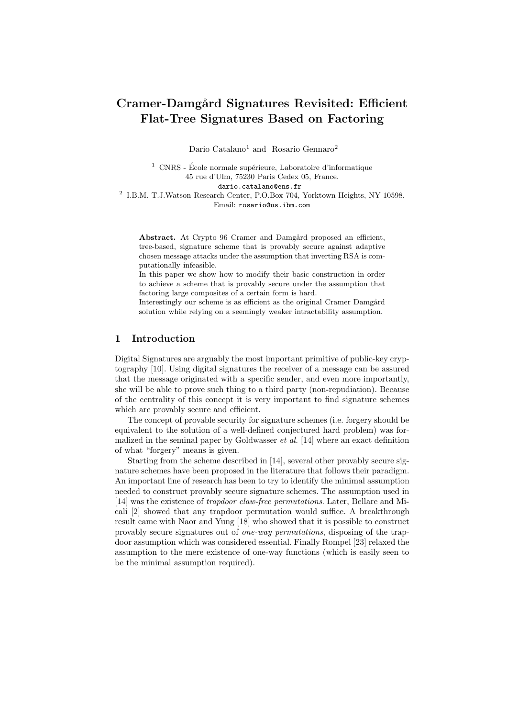# Cramer-Damgård Signatures Revisited: Efficient Flat-Tree Signatures Based on Factoring

Dario Catalano<sup>1</sup> and Rosario Gennaro<sup>2</sup>

 $1$  CNRS - École normale supérieure, Laboratoire d'informatique 45 rue d'Ulm, 75230 Paris Cedex 05, France. dario.catalano@ens.fr

2 I.B.M. T.J.Watson Research Center, P.O.Box 704, Yorktown Heights, NY 10598. Email: rosario@us.ibm.com

Abstract. At Crypto 96 Cramer and Damgård proposed an efficient, tree-based, signature scheme that is provably secure against adaptive chosen message attacks under the assumption that inverting RSA is computationally infeasible.

In this paper we show how to modify their basic construction in order to achieve a scheme that is provably secure under the assumption that factoring large composites of a certain form is hard.

Interestingly our scheme is as efficient as the original Cramer Damgård solution while relying on a seemingly weaker intractability assumption.

# 1 Introduction

Digital Signatures are arguably the most important primitive of public-key cryptography [10]. Using digital signatures the receiver of a message can be assured that the message originated with a specific sender, and even more importantly, she will be able to prove such thing to a third party (non-repudiation). Because of the centrality of this concept it is very important to find signature schemes which are provably secure and efficient.

The concept of provable security for signature schemes (i.e. forgery should be equivalent to the solution of a well-defined conjectured hard problem) was formalized in the seminal paper by Goldwasser  $et \ al.$  [14] where an exact definition of what "forgery" means is given.

Starting from the scheme described in [14], several other provably secure signature schemes have been proposed in the literature that follows their paradigm. An important line of research has been to try to identify the minimal assumption needed to construct provably secure signature schemes. The assumption used in [14] was the existence of trapdoor claw-free permutations. Later, Bellare and Micali [2] showed that any trapdoor permutation would suffice. A breakthrough result came with Naor and Yung [18] who showed that it is possible to construct provably secure signatures out of one-way permutations, disposing of the trapdoor assumption which was considered essential. Finally Rompel [23] relaxed the assumption to the mere existence of one-way functions (which is easily seen to be the minimal assumption required).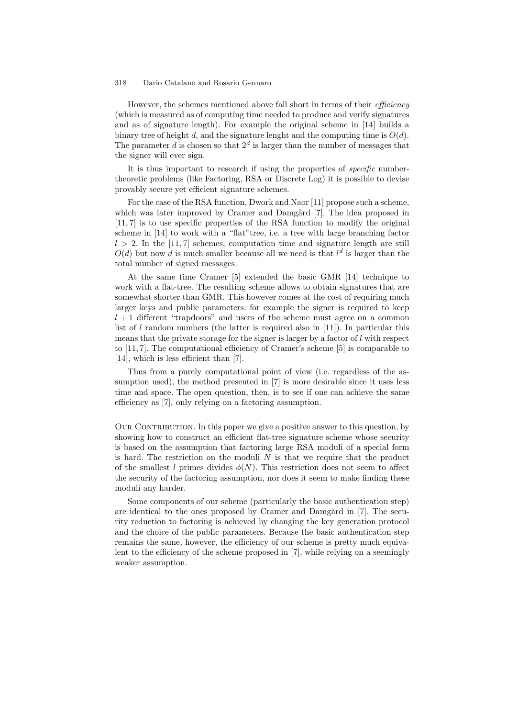However, the schemes mentioned above fall short in terms of their *efficiency* (which is measured as of computing time needed to produce and verify signatures and as of signature length). For example the original scheme in [14] builds a binary tree of height  $d$ , and the signature lenght and the computing time is  $O(d)$ . The parameter d is chosen so that  $2^d$  is larger than the number of messages that the signer will ever sign.

It is thus important to research if using the properties of *specific* numbertheoretic problems (like Factoring, RSA or Discrete Log) it is possible to devise provably secure yet efficient signature schemes.

For the case of the RSA function, Dwork and Naor [11] propose such a scheme, which was later improved by Cramer and Damgård [7]. The idea proposed in [11, 7] is to use specific properties of the RSA function to modify the original scheme in [14] to work with a "flat"tree, i.e. a tree with large branching factor  $l > 2$ . In the [11,7] schemes, computation time and signature length are still  $O(d)$  but now d is much smaller because all we need is that  $l^d$  is larger than the total number of signed messages.

At the same time Cramer [5] extended the basic GMR [14] technique to work with a flat-tree. The resulting scheme allows to obtain signatures that are somewhat shorter than GMR. This however comes at the cost of requiring much larger keys and public parameters: for example the signer is required to keep  $l + 1$  different "trapdoors" and users of the scheme must agree on a common list of l random numbers (the latter is required also in [11]). In particular this means that the private storage for the signer is larger by a factor of l with respect to [11, 7]. The computational efficiency of Cramer's scheme [5] is comparable to [14], which is less efficient than [7].

Thus from a purely computational point of view (i.e. regardless of the assumption used), the method presented in [7] is more desirable since it uses less time and space. The open question, then, is to see if one can achieve the same efficiency as [7], only relying on a factoring assumption.

OUR CONTRIBUTION. In this paper we give a positive answer to this question, by showing how to construct an efficient flat-tree signature scheme whose security is based on the assumption that factoring large RSA moduli of a special form is hard. The restriction on the moduli  $N$  is that we require that the product of the smallest l primes divides  $\phi(N)$ . This restriction does not seem to affect the security of the factoring assumption, nor does it seem to make finding these moduli any harder.

Some components of our scheme (particularly the basic authentication step) are identical to the ones proposed by Cramer and Damgård in [7]. The security reduction to factoring is achieved by changing the key generation protocol and the choice of the public parameters. Because the basic authentication step remains the same, however, the efficiency of our scheme is pretty much equivalent to the efficiency of the scheme proposed in [7], while relying on a seemingly weaker assumption.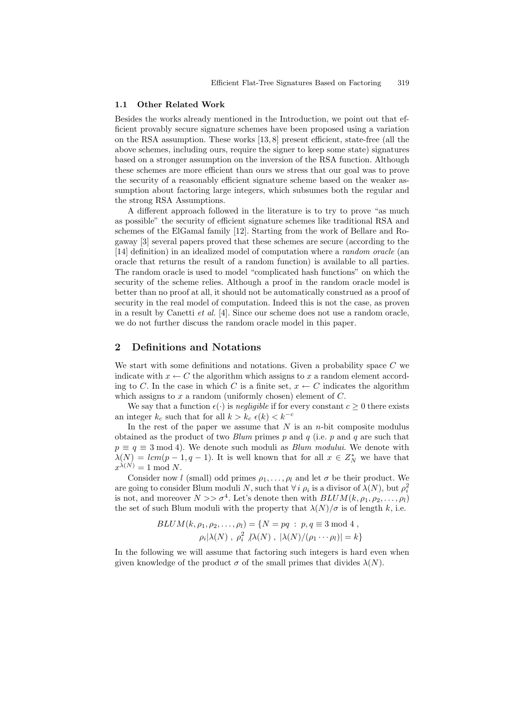#### 1.1 Other Related Work

Besides the works already mentioned in the Introduction, we point out that efficient provably secure signature schemes have been proposed using a variation on the RSA assumption. These works [13, 8] present efficient, state-free (all the above schemes, including ours, require the signer to keep some state) signatures based on a stronger assumption on the inversion of the RSA function. Although these schemes are more efficient than ours we stress that our goal was to prove the security of a reasonably efficient signature scheme based on the weaker assumption about factoring large integers, which subsumes both the regular and the strong RSA Assumptions.

A different approach followed in the literature is to try to prove "as much as possible" the security of efficient signature schemes like traditional RSA and schemes of the ElGamal family [12]. Starting from the work of Bellare and Rogaway [3] several papers proved that these schemes are secure (according to the [14] definition) in an idealized model of computation where a random oracle (an oracle that returns the result of a random function) is available to all parties. The random oracle is used to model "complicated hash functions" on which the security of the scheme relies. Although a proof in the random oracle model is better than no proof at all, it should not be automatically construed as a proof of security in the real model of computation. Indeed this is not the case, as proven in a result by Canetti et al. [4]. Since our scheme does not use a random oracle, we do not further discuss the random oracle model in this paper.

# 2 Definitions and Notations

We start with some definitions and notations. Given a probability space  $C$  we indicate with  $x \leftarrow C$  the algorithm which assigns to x a random element according to C. In the case in which C is a finite set,  $x \leftarrow C$  indicates the algorithm which assigns to  $x$  a random (uniformly chosen) element of  $C$ .

We say that a function  $\epsilon(\cdot)$  is *negligible* if for every constant  $c > 0$  there exists an integer  $k_c$  such that for all  $k > k_c$   $\epsilon(k) < k^{-c}$ 

In the rest of the paper we assume that  $N$  is an n-bit composite modulus obtained as the product of two Blum primes p and q (i.e. p and q are such that  $p \equiv q \equiv 3 \mod 4$ . We denote such moduli as *Blum modului*. We denote with  $\lambda(N) = lcm(p-1, q-1)$ . It is well known that for all  $x \in Z_N^*$  we have that  $x^{\lambda(N)} = 1 \text{ mod } N.$ 

Consider now l (small) odd primes  $\rho_1, \ldots, \rho_l$  and let  $\sigma$  be their product. We are going to consider Blum moduli N, such that  $\forall i \rho_i$  is a divisor of  $\lambda(N)$ , but  $\rho_i^2$ is not, and moreover  $N >> \sigma^4$ . Let's denote then with  $BLUM(k, \rho_1, \rho_2, \ldots, \rho_l)$ the set of such Blum moduli with the property that  $\lambda(N)/\sigma$  is of length k, i.e.

$$
BLUM(k, \rho_1, \rho_2, \dots, \rho_l) = \{N = pq : p, q \equiv 3 \mod 4,
$$
  

$$
\rho_i |\lambda(N), \rho_i^2 / \lambda(N), |\lambda(N)/(\rho_1 \cdots \rho_l)| = k\}
$$

In the following we will assume that factoring such integers is hard even when given knowledge of the product  $\sigma$  of the small primes that divides  $\lambda(N)$ .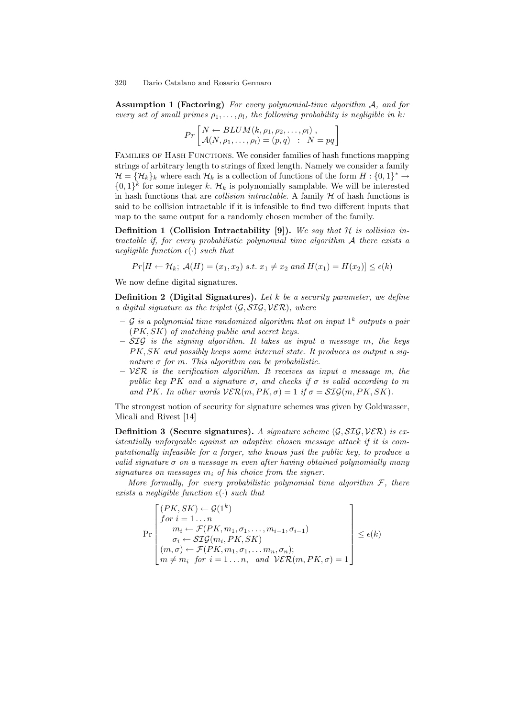Assumption 1 (Factoring) For every polynomial-time algorithm A, and for every set of small primes  $\rho_1, \ldots, \rho_l$ , the following probability is negligible in k:

$$
Pr\left[\begin{matrix} N \leftarrow BLUM(k, \rho_1, \rho_2, \dots, \rho_l) \\ \mathcal{A}(N, \rho_1, \dots, \rho_l) = (p, q) & : N = pq \end{matrix}\right]
$$

FAMILIES OF HASH FUNCTIONS. We consider families of hash functions mapping strings of arbitrary length to strings of fixed length. Namely we consider a family  $\mathcal{H} = \{ \mathcal{H}_k \}_k$  where each  $\mathcal{H}_k$  is a collection of functions of the form  $H : \{0,1\}^* \to$  $\{0,1\}^k$  for some integer k.  $\mathcal{H}_k$  is polynomially samplable. We will be interested in hash functions that are *collision intractable*. A family  $H$  of hash functions is said to be collision intractable if it is infeasible to find two different inputs that map to the same output for a randomly chosen member of the family.

Definition 1 (Collision Intractability [9]). We say that  $H$  is collision intractable if, for every probabilistic polynomial time algorithm  $A$  there exists a negligible function  $\epsilon(\cdot)$  such that

$$
Pr[H \leftarrow \mathcal{H}_k; \ \mathcal{A}(H) = (x_1, x_2) \ s.t. \ x_1 \neq x_2 \ and \ H(x_1) = H(x_2)] \leq \epsilon(k)
$$

We now define digital signatures.

**Definition 2** (Digital Signatures). Let k be a security parameter, we define a digital signature as the triplet  $(\mathcal{G}, \mathcal{SIG}, \mathcal{VER})$ , where

- $-$  G is a polynomial time randomized algorithm that on input  $1^k$  outputs a pair  $(PK, SK)$  of matching public and secret keys.
- $-STG$  is the signing algorithm. It takes as input a message m, the keys PK, SK and possibly keeps some internal state. It produces as output a signature  $\sigma$  for m. This algorithm can be probabilistic.
- $VER$  is the verification algorithm. It receives as input a message m, the public key PK and a signature  $\sigma$ , and checks if  $\sigma$  is valid according to m and PK. In other words  $V\mathcal{ER}(m, PK, \sigma) = 1$  if  $\sigma = \mathcal{SIG}(m, PK, SK)$ .

The strongest notion of security for signature schemes was given by Goldwasser, Micali and Rivest [14]

**Definition 3 (Secure signatures).** A signature scheme  $(\mathcal{G}, \mathcal{SIG}, \mathcal{VER})$  is existentially unforgeable against an adaptive chosen message attack if it is computationally infeasible for a forger, who knows just the public key, to produce a valid signature  $\sigma$  on a message m even after having obtained polynomially many signatures on messages  $m_i$  of his choice from the signer.

More formally, for every probabilistic polynomial time algorithm  $\mathcal{F}$ , there exists a negligible function  $\epsilon(\cdot)$  such that

$$
\Pr\left[\begin{array}{l} (PK, SK) \leftarrow \mathcal{G}(1^k) \\ \text{for } i = 1 \dots n \\ m_i \leftarrow \mathcal{F}(PK, m_1, \sigma_1, \dots, m_{i-1}, \sigma_{i-1}) \\ \sigma_i \leftarrow \mathcal{SIQ}(m_i, PK, SK) \\ (m, \sigma) \leftarrow \mathcal{F}(PK, m_1, \sigma_1, \dots m_n, \sigma_n); \\ m \neq m_i \text{ for } i = 1 \dots n, \text{ and } \mathcal{VER}(m, PK, \sigma) = 1 \end{array}\right] \le \epsilon(k)
$$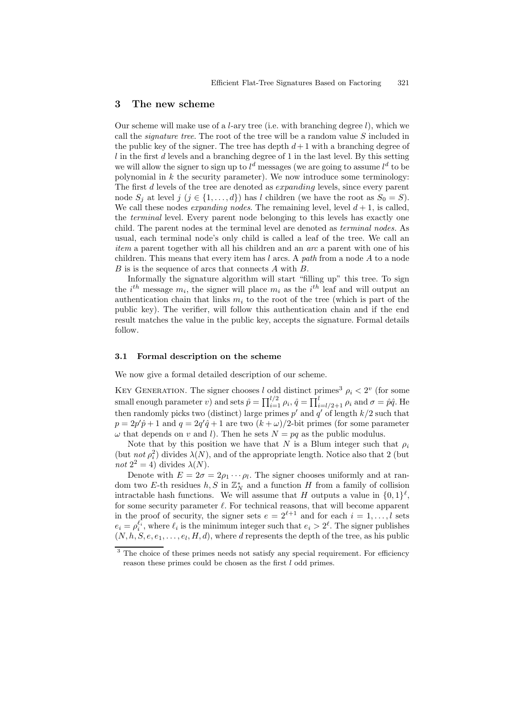#### 3 The new scheme

Our scheme will make use of a *l*-ary tree (i.e. with branching degree  $l$ ), which we call the *signature tree*. The root of the tree will be a random value  $S$  included in the public key of the signer. The tree has depth  $d+1$  with a branching degree of  $l$  in the first  $d$  levels and a branching degree of 1 in the last level. By this setting we will allow the signer to sign up to  $l^d$  messages (we are going to assume  $l^d$  to be polynomial in  $k$  the security parameter). We now introduce some terminology: The first d levels of the tree are denoted as *expanding* levels, since every parent node  $S_i$  at level  $j$   $(j \in \{1, ..., d\})$  has l children (we have the root as  $S_0 = S$ ). We call these nodes *expanding nodes*. The remaining level, level  $d+1$ , is called, the terminal level. Every parent node belonging to this levels has exactly one child. The parent nodes at the terminal level are denoted as terminal nodes. As usual, each terminal node's only child is called a leaf of the tree. We call an item a parent together with all his children and an arc a parent with one of his children. This means that every item has  $l$  arcs. A path from a node  $A$  to a node B is is the sequence of arcs that connects A with B.

Informally the signature algorithm will start "filling up" this tree. To sign the  $i^{th}$  message  $m_i$ , the signer will place  $m_i$  as the  $i^{th}$  leaf and will output an authentication chain that links  $m_i$  to the root of the tree (which is part of the public key). The verifier, will follow this authentication chain and if the end result matches the value in the public key, accepts the signature. Formal details follow.

## 3.1 Formal description on the scheme

We now give a formal detailed description of our scheme.

KEY GENERATION. The signer chooses l odd distinct primes<sup>3</sup>  $\rho_i < 2^v$  (for some small enough parameter v) and sets  $\hat{p} = \prod_{i=1}^{l/2} \rho_i$ ,  $\hat{q} = \prod_{i=l/2+1}^{l} \rho_i$  and  $\sigma = \hat{p}\hat{q}$ . He then randomly picks two (distinct) large primes  $p'$  and  $q'$  of length  $k/2$  such that  $p = 2p'\hat{p} + 1$  and  $q = 2q'\hat{q} + 1$  are two  $(k + \omega)/2$ -bit primes (for some parameter  $\omega$  that depends on v and l). Then he sets  $N = pq$  as the public modulus.

Note that by this position we have that N is a Blum integer such that  $\rho_i$ (but *not*  $\rho_i^2$ ) divides  $\lambda(N)$ , and of the appropriate length. Notice also that 2 (but not  $2^2 = 4$ ) divides  $\lambda(N)$ .

Denote with  $E = 2\sigma = 2\rho_1 \cdots \rho_l$ . The signer chooses uniformly and at random two E-th residues  $h, S$  in  $\mathbb{Z}_N^*$  and a function H from a family of collision intractable hash functions. We will assume that H outputs a value in  $\{0,1\}^{\ell}$ , for some security parameter  $\ell$ . For technical reasons, that will become apparent in the proof of security, the signer sets  $e = 2^{\ell+1}$  and for each  $i = 1, \ldots, l$  sets  $e_i = \rho_i^{\ell_i}$ , where  $\ell_i$  is the minimum integer such that  $e_i > 2^{\ell}$ . The signer publishes  $(N, h, S, e, e_1, \ldots, e_l, H, d)$ , where d represents the depth of the tree, as his public

<sup>&</sup>lt;sup>3</sup> The choice of these primes needs not satisfy any special requirement. For efficiency reason these primes could be chosen as the first  $l$  odd primes.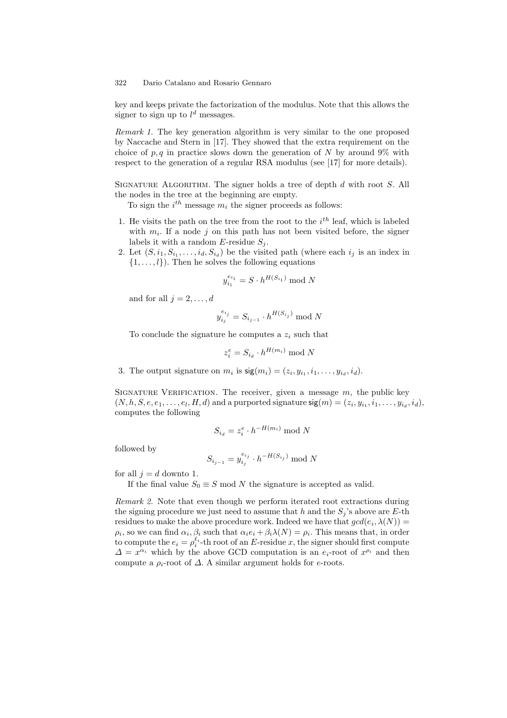key and keeps private the factorization of the modulus. Note that this allows the signer to sign up to  $l^d$  messages.

Remark 1. The key generation algorithm is very similar to the one proposed by Naccache and Stern in [17]. They showed that the extra requirement on the choice of  $p, q$  in practice slows down the generation of N by around 9% with respect to the generation of a regular RSA modulus (see [17] for more details).

SIGNATURE ALGORITHM. The signer holds a tree of depth  $d$  with root  $S$ . All the nodes in the tree at the beginning are empty.

To sign the  $i^{th}$  message  $m_i$  the signer proceeds as follows:

- 1. He visits the path on the tree from the root to the  $i<sup>th</sup>$  leaf, which is labeled with  $m_i$ . If a node j on this path has not been visited before, the signer labels it with a random  $E$ -residue  $S_j$ .
- 2. Let  $(S, i_1, S_{i_1}, \ldots, i_d, S_{i_d})$  be the visited path (where each  $i_j$  is an index in  $\{1, \ldots, l\}$ . Then he solves the following equations

$$
y_{i_1}^{e_{i_1}} = S \cdot h^{H(S_{i_1})} \bmod N
$$

and for all  $j = 2, \ldots, d$ 

$$
y_{i_j}^{e_{i_j}} = S_{i_{j-1}} \cdot h^{H(S_{i_j})} \bmod N
$$

To conclude the signature he computes a  $z_i$  such that

$$
z_i^e = S_{i_d} \cdot h^{H(m_i)} \bmod N
$$

3. The output signature on  $m_i$  is  $\mathsf{sig}(m_i) = (z_i, y_{i_1}, i_1, \ldots, y_{i_d}, i_d)$ .

SIGNATURE VERIFICATION. The receiver, given a message  $m$ , the public key  $(N, h, S, e, e_1, \ldots, e_l, H, d)$  and a purported signature  $\mathsf{sig}(m) = (z_i, y_{i_1}, i_1, \ldots, y_{i_d}, i_d),$ computes the following

$$
S_{i_d} = z_i^e \cdot h^{-H(m_i)} \bmod{N}
$$

followed by

$$
S_{i_{j-1}} = y_{i_j}^{e_{i_j}} \cdot h^{-H(S_{i_j})} \mod N
$$

for all  $j = d$  downto 1.

If the final value  $S_0 \equiv S \mod N$  the signature is accepted as valid.

Remark 2. Note that even though we perform iterated root extractions during the signing procedure we just need to assume that h and the  $S_i$ 's above are E-th residues to make the above procedure work. Indeed we have that  $gcd(e_i, \lambda(N)) =$  $\rho_i$ , so we can find  $\alpha_i, \beta_i$  such that  $\alpha_i e_i + \beta_i \lambda(N) = \rho_i$ . This means that, in order to compute the  $e_i = \rho_i^{\ell_i}$ -th root of an E-residue x, the signer should first compute  $\Delta = x^{\alpha_i}$  which by the above GCD computation is an  $e_i$ -root of  $x^{\rho_i}$  and then compute a  $\rho_i$ -root of  $\Delta$ . A similar argument holds for e-roots.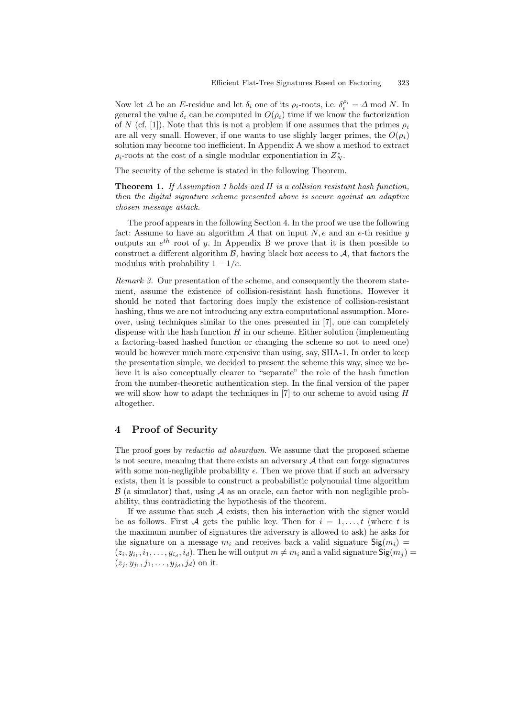Now let  $\Delta$  be an E-residue and let  $\delta_i$  one of its  $\rho_i$ -roots, i.e.  $\delta_i^{\rho_i} = \Delta \mod N$ . In general the value  $\delta_i$  can be computed in  $O(\rho_i)$  time if we know the factorization of N (cf. [1]). Note that this is not a problem if one assumes that the primes  $\rho_i$ are all very small. However, if one wants to use slighly larger primes, the  $O(\rho_i)$ solution may become too inefficient. In Appendix A we show a method to extract  $\rho_i$ -roots at the cost of a single modular exponentiation in  $Z_N^*$ .

The security of the scheme is stated in the following Theorem.

Theorem 1. If Assumption 1 holds and H is a collision resistant hash function, then the digital signature scheme presented above is secure against an adaptive chosen message attack.

The proof appears in the following Section 4. In the proof we use the following fact: Assume to have an algorithm  $A$  that on input  $N$ ,  $e$  and an  $e$ -th residue  $y$ outputs an  $e^{th}$  root of y. In Appendix B we prove that it is then possible to construct a different algorithm  $\mathcal{B}$ , having black box access to  $\mathcal{A}$ , that factors the modulus with probability  $1 - 1/e$ .

Remark 3. Our presentation of the scheme, and consequently the theorem statement, assume the existence of collision-resistant hash functions. However it should be noted that factoring does imply the existence of collision-resistant hashing, thus we are not introducing any extra computational assumption. Moreover, using techniques similar to the ones presented in [7], one can completely dispense with the hash function  $H$  in our scheme. Either solution (implementing a factoring-based hashed function or changing the scheme so not to need one) would be however much more expensive than using, say, SHA-1. In order to keep the presentation simple, we decided to present the scheme this way, since we believe it is also conceptually clearer to "separate" the role of the hash function from the number-theoretic authentication step. In the final version of the paper we will show how to adapt the techniques in  $[7]$  to our scheme to avoid using  $H$ altogether.

## 4 Proof of Security

The proof goes by *reductio ad absurdum*. We assume that the proposed scheme is not secure, meaning that there exists an adversary  $A$  that can forge signatures with some non-negligible probability  $\epsilon$ . Then we prove that if such an adversary exists, then it is possible to construct a probabilistic polynomial time algorithm  $\beta$  (a simulator) that, using  $\mathcal A$  as an oracle, can factor with non negligible probability, thus contradicting the hypothesis of the theorem.

If we assume that such  $A$  exists, then his interaction with the signer would be as follows. First A gets the public key. Then for  $i = 1, \ldots, t$  (where t is the maximum number of signatures the adversary is allowed to ask) he asks for the signature on a message  $m_i$  and receives back a valid signature  $\text{Sig}(m_i)$  =  $(z_i, y_{i_1}, i_1, \ldots, y_{i_d}, i_d)$ . Then he will output  $m \neq m_i$  and a valid signature  $\mathsf{Sig}(m_j)$  $(z_j, y_{j_1}, j_1, \ldots, y_{j_d}, j_d)$  on it.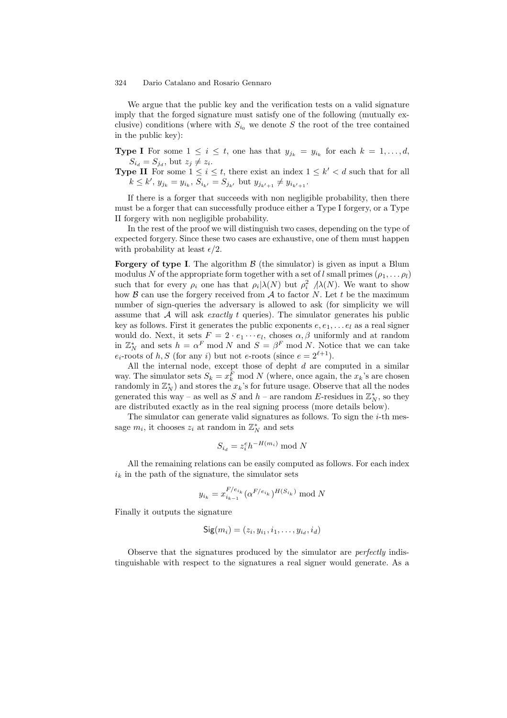We argue that the public key and the verification tests on a valid signature imply that the forged signature must satisfy one of the following (mutually exclusive) conditions (where with  $S_{i_0}$  we denote S the root of the tree contained in the public key):

**Type I** For some  $1 \leq i \leq t$ , one has that  $y_{j_k} = y_{i_k}$  for each  $k = 1, \ldots, d$ ,  $S_{i_d} = S_{j_d}$ , but  $z_j \neq z_i$ .

**Type II** For some  $1 \leq i \leq t$ , there exist an index  $1 \leq k' < d$  such that for all  $k \leq k'$ ,  $y_{j_k} = y_{i_k}$ ,  $S_{i_{k'}} = S_{j_{k'}}$  but  $y_{j_{k'+1}} \neq y_{i_{k'+1}}$ .

If there is a forger that succeeds with non negligible probability, then there must be a forger that can successfully produce either a Type I forgery, or a Type II forgery with non negligible probability.

In the rest of the proof we will distinguish two cases, depending on the type of expected forgery. Since these two cases are exhaustive, one of them must happen with probability at least  $\epsilon/2$ .

Forgery of type I. The algorithm  $\beta$  (the simulator) is given as input a Blum modulus N of the appropriate form together with a set of l small primes  $(\rho_1, \ldots \rho_l)$ such that for every  $\rho_i$  one has that  $\rho_i|\lambda(N)$  but  $\rho_i^2$   $\lambda(N)$ . We want to show how  $\beta$  can use the forgery received from  $\mathcal A$  to factor N. Let t be the maximum number of sign-queries the adversary is allowed to ask (for simplicity we will assume that  $A$  will ask *exactly t* queries). The simulator generates his public key as follows. First it generates the public exponents  $e, e_1, \ldots e_l$  as a real signer would do. Next, it sets  $F = 2 \cdot e_1 \cdots e_l$ , choses  $\alpha, \beta$  uniformly and at random in  $\mathbb{Z}_N^*$  and sets  $h = \alpha^F \mod N$  and  $S = \beta^F \mod N$ . Notice that we can take  $e_i$ -roots of h, S (for any i) but not e-roots (since  $e = 2^{\ell+1}$ ).

All the internal node, except those of depht  $d$  are computed in a similar way. The simulator sets  $S_k = x_k^F \mod N$  (where, once again, the  $x_k$ 's are chosen randomly in  $\mathbb{Z}_N^*$  and stores the  $x_k$ 's for future usage. Observe that all the nodes generated this way – as well as S and  $h$  – are random E-residues in  $\mathbb{Z}_N^*$ , so they are distributed exactly as in the real signing process (more details below).

The simulator can generate valid signatures as follows. To sign the  $i$ -th message  $m_i$ , it chooses  $z_i$  at random in  $\mathbb{Z}_N^*$  and sets

$$
S_{i_d} = z_i^e h^{-H(m_i)} \bmod{N}
$$

All the remaining relations can be easily computed as follows. For each index  $i_k$  in the path of the signature, the simulator sets

$$
y_{i_k} = x_{i_{k-1}}^{F/e_{i_k}} (\alpha^{F/e_{i_k}})^{H(S_{i_k})} \mod N
$$

Finally it outputs the signature

$$
\mathsf{Sig}(m_i) = (z_i, y_{i_1}, i_1, \ldots, y_{i_d}, i_d)
$$

Observe that the signatures produced by the simulator are perfectly indistinguishable with respect to the signatures a real signer would generate. As a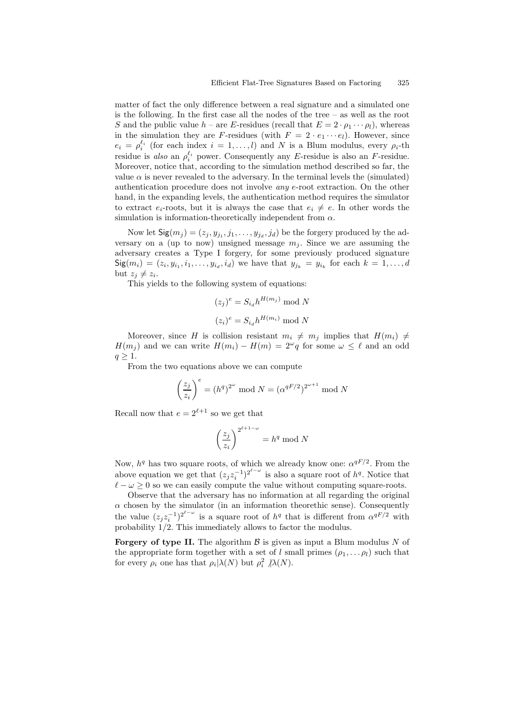matter of fact the only difference between a real signature and a simulated one is the following. In the first case all the nodes of the tree – as well as the root S and the public value  $h$  – are E-residues (recall that  $E = 2 \cdot \rho_1 \cdots \rho_l$ ), whereas in the simulation they are F-residues (with  $F = 2 \cdot e_1 \cdots e_l$ ). However, since  $e_i = \rho_i^{\ell_i}$  (for each index  $i = 1, ..., l$ ) and N is a Blum modulus, every  $\rho_i$ -th residue is also an  $\rho_i^{\ell_i}$  power. Consequently any E-residue is also an F-residue. Moreover, notice that, according to the simulation method described so far, the value  $\alpha$  is never revealed to the adversary. In the terminal levels the (simulated) authentication procedure does not involve any e-root extraction. On the other hand, in the expanding levels, the authentication method requires the simulator to extract  $e_i$ -roots, but it is always the case that  $e_i \neq e$ . In other words the simulation is information-theoretically independent from  $\alpha$ .

Now let  $\mathsf{Sig}(m_j) = (z_j, y_{j_1}, j_1, \ldots, y_{j_d}, j_d)$  be the forgery produced by the adversary on a (up to now) unsigned message  $m_i$ . Since we are assuming the adversary creates a Type I forgery, for some previously produced signature  $\mathsf{Sig}(m_i) = (z_i, y_{i_1}, i_1, \ldots, y_{i_d}, i_d)$  we have that  $y_{j_k} = y_{i_k}$  for each  $k = 1, \ldots, d$ but  $z_j \neq z_i$ .

This yields to the following system of equations:

$$
(z_j)^e = S_{i_d} h^{H(m_j)} \bmod N
$$

$$
(z_i)^e = S_{i_d} h^{H(m_i)} \bmod N
$$

Moreover, since H is collision resistant  $m_i \neq m_j$  implies that  $H(m_i) \neq$  $H(m_j)$  and we can write  $H(m_i) - H(m) = 2^{\omega}q$  for some  $\omega \leq \ell$  and an odd  $q > 1$ .

From the two equations above we can compute

$$
\left(\frac{z_j}{z_i}\right)^e = (h^q)^{2^{\omega}} \bmod N = (\alpha^{qF/2})^{2^{\omega+1}} \bmod N
$$

Recall now that  $e = 2^{\ell+1}$  so we get that

$$
\left(\frac{z_j}{z_i}\right)^{2^{\ell+1-\omega}}=h^q\bmod N
$$

Now,  $h^q$  has two square roots, of which we already know one:  $\alpha^{qF/2}$ . From the above equation we get that  $(z_j z_i^{-1})^{2^{\ell-\omega}}$  is also a square root of  $h^q$ . Notice that  $\ell - \omega \geq 0$  so we can easily compute the value without computing square-roots.

Observe that the adversary has no information at all regarding the original  $\alpha$  chosen by the simulator (in an information theorethic sense). Consequently the value  $(z_j z_i^{-1})^{2^{\ell-\omega}}$  is a square root of  $h^q$  that is different from  $\alpha^{qF/2}$  with probability  $1/2$ . This immediately allows to factor the modulus.

**Forgery of type II.** The algorithm  $\beta$  is given as input a Blum modulus N of the appropriate form together with a set of l small primes  $(\rho_1, \ldots, \rho_l)$  such that for every  $\rho_i$  one has that  $\rho_i|\lambda(N)$  but  $\rho_i^2/\lambda(N)$ .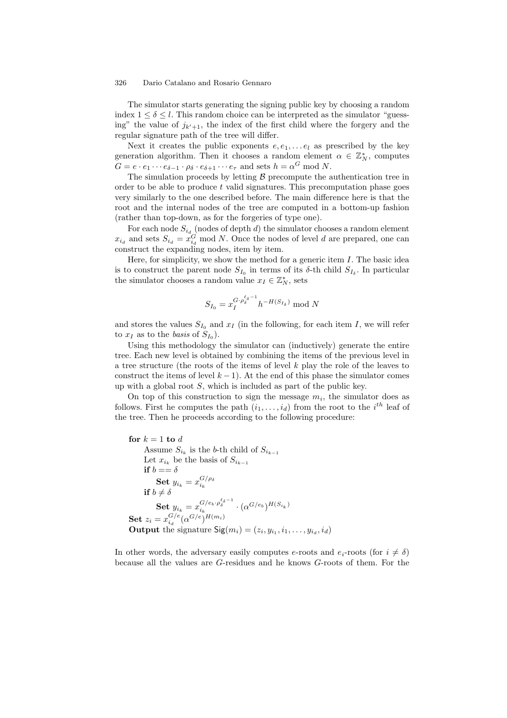The simulator starts generating the signing public key by choosing a random index  $1 \leq \delta \leq l$ . This random choice can be interpreted as the simulator "guessing" the value of  $j_{k'+1}$ , the index of the first child where the forgery and the regular signature path of the tree will differ.

Next it creates the public exponents  $e, e_1, \ldots e_l$  as prescribed by the key generation algorithm. Then it chooses a random element  $\alpha \in \mathbb{Z}_N^*$ , computes  $G = e \cdot e_1 \cdots e_{\delta-1} \cdot \rho_{\delta} \cdot e_{\delta+1} \cdots e_{\tau}$  and sets  $h = \alpha^G \mod N$ .

The simulation proceeds by letting  $\beta$  precompute the authentication tree in order to be able to produce  $t$  valid signatures. This precomputation phase goes very similarly to the one described before. The main difference here is that the root and the internal nodes of the tree are computed in a bottom-up fashion (rather than top-down, as for the forgeries of type one).

For each node  $S_{i_d}$  (nodes of depth d) the simulator chooses a random element  $x_{i_d}$  and sets  $S_{i_d} = x_{i_d}^G$  mod N. Once the nodes of level d are prepared, one can construct the expanding nodes, item by item.

Here, for simplicity, we show the method for a generic item  $I$ . The basic idea is to construct the parent node  $S_{I_0}$  in terms of its  $\delta$ -th child  $S_{I_\delta}$ . In particular the simulator chooses a random value  $x_I \in \mathbb{Z}_N^*$ , sets

$$
S_{I_0} = x_I^{G \cdot \rho_{\delta}^{\ell_{\delta}-1}} h^{-H(S_{I_{\delta}})} \bmod N
$$

and stores the values  $S_{I_0}$  and  $x_I$  (in the following, for each item I, we will refer to  $x_I$  as to the *basis* of  $S_{I_0}$ ).

Using this methodology the simulator can (inductively) generate the entire tree. Each new level is obtained by combining the items of the previous level in a tree structure (the roots of the items of level  $k$  play the role of the leaves to construct the items of level  $k - 1$ ). At the end of this phase the simulator comes up with a global root  $S$ , which is included as part of the public key.

On top of this construction to sign the message  $m_i$ , the simulator does as follows. First he computes the path  $(i_1, \ldots, i_d)$  from the root to the  $i^{th}$  leaf of the tree. Then he proceeds according to the following procedure:

```
for k = 1 to dAssume S_{i_k} is the b-th child of S_{i_{k-1}}Let x_{i_k} be the basis of S_{i_{k-1}}if b == \delta\textbf{Set} \; y_{i_k} = x_{i_k}^{G/\rho_\delta}\text{let } y_{i_k} = x_{i_k}<br>if b \neq \deltaSet y_{i_k} = x_{i_k}^{G/e_b \cdot \rho_{\delta}^{\ell_{\delta}-1}} \cdot (\alpha^{G/e_b})^{H(S_{i_k})}Set z_i = x_{i_d}^{G/e} (\alpha^{G/e})^{H(m_i)}Output the signature \text{Sig}(m_i) = (z_i, y_{i_1}, i_1, \ldots, y_{i_d}, i_d)
```
In other words, the adversary easily computes e-roots and  $e_i$ -roots (for  $i \neq \delta$ ) because all the values are G-residues and he knows G-roots of them. For the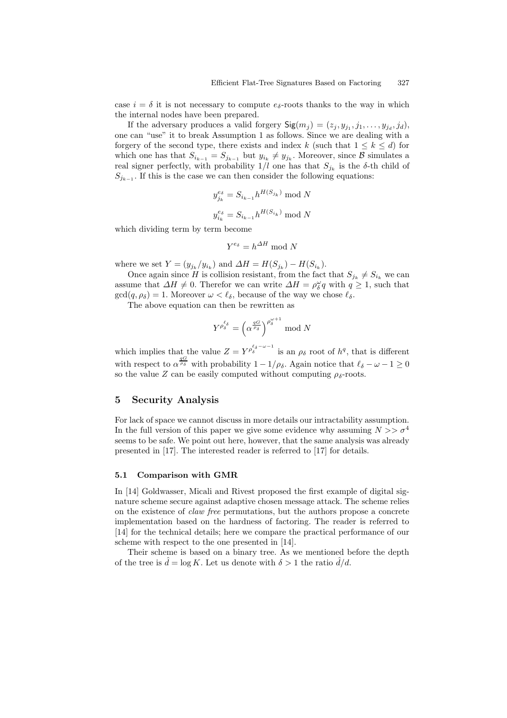case  $i = \delta$  it is not necessary to compute  $e_{\delta}$ -roots thanks to the way in which the internal nodes have been prepared.

If the adversary produces a valid forgery  $\mathsf{Sig}(m_j) = (z_j, y_{j_1}, j_1, \ldots, y_{j_d}, j_d),$ one can "use" it to break Assumption 1 as follows. Since we are dealing with a forgery of the second type, there exists and index k (such that  $1 \leq k \leq d$ ) for which one has that  $S_{i_{k-1}} = S_{j_{k-1}}$  but  $y_{i_k} \neq y_{j_k}$ . Moreover, since  $\beta$  simulates a real signer perfectly, with probability  $1/l$  one has that  $S_{j_k}$  is the  $\delta$ -th child of  $S_{j_{k-1}}$ . If this is the case we can then consider the following equations:

$$
y_{j_k}^{es} = S_{i_{k-1}} h^{H(S_{j_k})} \mod N
$$
  

$$
y_{i_k}^{es} = S_{i_{k-1}} h^{H(S_{i_k})} \mod N
$$

which dividing term by term become

$$
Y^{e_{\delta}} = h^{\Delta H} \bmod N
$$

where we set  $Y = (y_{j_k}/y_{i_k})$  and  $\Delta H = H(S_{j_k}) - H(S_{i_k}).$ 

Once again since H is collision resistant, from the fact that  $S_{j_k} \neq S_{i_k}$  we can assume that  $\Delta H \neq 0$ . Therefor we can write  $\Delta H = \rho_{\delta}^{\omega} q$  with  $q \geq 1$ , such that  $gcd(q, \rho_{\delta}) = 1$ . Moreover  $\omega < \ell_{\delta}$ , because of the way we chose  $\ell_{\delta}$ .

The above equation can then be rewritten as

$$
Y^{\rho_\delta^{\ell_\delta}} = \left(\alpha^{\frac{qG}{\rho_\delta}}\right)^{\rho_\delta^{\omega+1}} \mod N
$$

which implies that the value  $Z = Y^{\rho_{\delta}^{\ell_{\delta}-\omega-1}}$  is an  $\rho_{\delta}$  root of  $h^{q}$ , that is different with respect to  $\alpha^{\frac{qG}{\rho_{\delta}}}$  with probability  $1 - 1/\rho_{\delta}$ . Again notice that  $\ell_{\delta} - \omega - 1 \ge 0$ so the value Z can be easily computed without computing  $\rho_{\delta}$ -roots.

## 5 Security Analysis

For lack of space we cannot discuss in more details our intractability assumption. In the full version of this paper we give some evidence why assuming  $N >> \sigma^4$ seems to be safe. We point out here, however, that the same analysis was already presented in [17]. The interested reader is referred to [17] for details.

#### 5.1 Comparison with GMR

In [14] Goldwasser, Micali and Rivest proposed the first example of digital signature scheme secure against adaptive chosen message attack. The scheme relies on the existence of claw free permutations, but the authors propose a concrete implementation based on the hardness of factoring. The reader is referred to [14] for the technical details; here we compare the practical performance of our scheme with respect to the one presented in [14].

Their scheme is based on a binary tree. As we mentioned before the depth of the tree is  $\hat{d} = \log K$ . Let us denote with  $\delta > 1$  the ratio  $\hat{d}/d$ .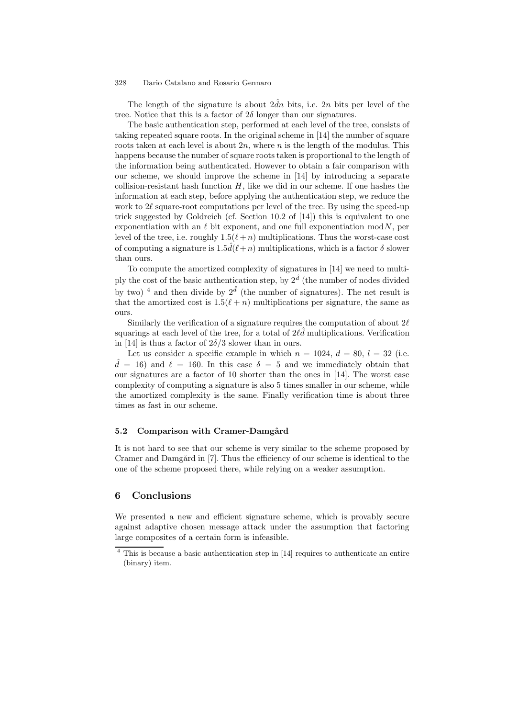The length of the signature is about  $2\hat{d}n$  bits, i.e. 2n bits per level of the tree. Notice that this is a factor of  $2\delta$  longer than our signatures.

The basic authentication step, performed at each level of the tree, consists of taking repeated square roots. In the original scheme in [14] the number of square roots taken at each level is about  $2n$ , where n is the length of the modulus. This happens because the number of square roots taken is proportional to the length of the information being authenticated. However to obtain a fair comparison with our scheme, we should improve the scheme in [14] by introducing a separate collision-resistant hash function  $H$ , like we did in our scheme. If one hashes the information at each step, before applying the authentication step, we reduce the work to  $2\ell$  square-root computations per level of the tree. By using the speed-up trick suggested by Goldreich (cf. Section 10.2 of [14]) this is equivalent to one exponentiation with an  $\ell$  bit exponent, and one full exponentiation mod $N$ , per level of the tree, i.e. roughly  $1.5(\ell + n)$  multiplications. Thus the worst-case cost of computing a signature is  $1.5\hat{d}(\ell+n)$  multiplications, which is a factor  $\delta$  slower than ours.

To compute the amortized complexity of signatures in [14] we need to multiply the cost of the basic authentication step, by  $2^{\hat{d}}$  (the number of nodes divided by two)<sup>4</sup> and then divide by  $2^{\hat{d}}$  (the number of signatures). The net result is that the amortized cost is  $1.5(\ell + n)$  multiplications per signature, the same as ours.

Similarly the verification of a signature requires the computation of about  $2\ell$ squarings at each level of the tree, for a total of  $2\ell\hat{d}$  multiplications. Verification in [14] is thus a factor of  $2\delta/3$  slower than in ours.

Let us consider a specific example in which  $n = 1024$ ,  $d = 80$ ,  $l = 32$  (i.e.  $d = 16$  and  $\ell = 160$ . In this case  $\delta = 5$  and we immediately obtain that our signatures are a factor of 10 shorter than the ones in [14]. The worst case complexity of computing a signature is also 5 times smaller in our scheme, while the amortized complexity is the same. Finally verification time is about three times as fast in our scheme.

### 5.2 Comparison with Cramer-Damgård

It is not hard to see that our scheme is very similar to the scheme proposed by Cramer and Damgård in  $[7]$ . Thus the efficiency of our scheme is identical to the one of the scheme proposed there, while relying on a weaker assumption.

## 6 Conclusions

We presented a new and efficient signature scheme, which is provably secure against adaptive chosen message attack under the assumption that factoring large composites of a certain form is infeasible.

<sup>4</sup> This is because a basic authentication step in [14] requires to authenticate an entire (binary) item.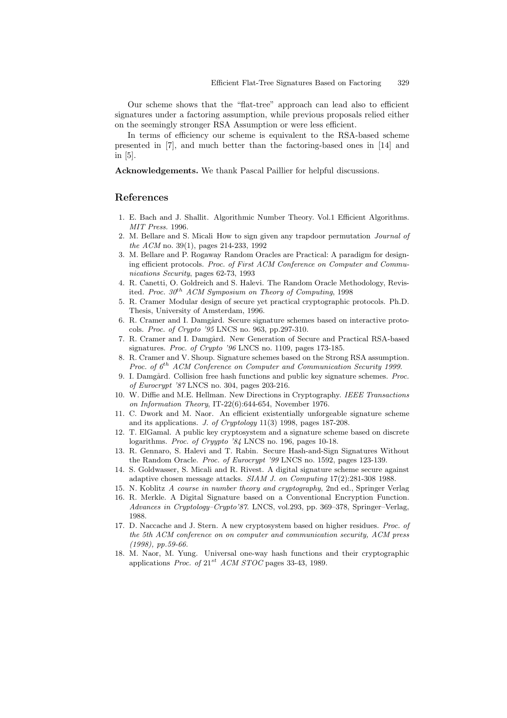Our scheme shows that the "flat-tree" approach can lead also to efficient signatures under a factoring assumption, while previous proposals relied either on the seemingly stronger RSA Assumption or were less efficient.

In terms of efficiency our scheme is equivalent to the RSA-based scheme presented in [7], and much better than the factoring-based ones in [14] and in [5].

Acknowledgements. We thank Pascal Paillier for helpful discussions.

## References

- 1. E. Bach and J. Shallit. Algorithmic Number Theory. Vol.1 Efficient Algorithms. MIT Press. 1996.
- 2. M. Bellare and S. Micali How to sign given any trapdoor permutation Journal of the ACM no. 39(1), pages 214-233, 1992
- 3. M. Bellare and P. Rogaway Random Oracles are Practical: A paradigm for designing efficient protocols. Proc. of First ACM Conference on Computer and Communications Security, pages 62-73, 1993
- 4. R. Canetti, O. Goldreich and S. Halevi. The Random Oracle Methodology, Revisited. Proc.  $30<sup>th</sup>$  ACM Symposium on Theory of Computing, 1998
- 5. R. Cramer Modular design of secure yet practical cryptographic protocols. Ph.D. Thesis, University of Amsterdam, 1996.
- 6. R. Cramer and I. Damgård. Secure signature schemes based on interactive protocols. Proc. of Crypto '95 LNCS no. 963, pp.297-310.
- 7. R. Cramer and I. Damgård. New Generation of Secure and Practical RSA-based signatures. Proc. of Crypto '96 LNCS no. 1109, pages 173-185.
- 8. R. Cramer and V. Shoup. Signature schemes based on the Strong RSA assumption. Proc. of  $6^{th}$  ACM Conference on Computer and Communication Security 1999.
- 9. I. Damgård. Collision free hash functions and public key signature schemes. *Proc.* of Eurocrypt '87 LNCS no. 304, pages 203-216.
- 10. W. Diffie and M.E. Hellman. New Directions in Cryptography. IEEE Transactions on Information Theory, IT-22(6):644-654, November 1976.
- 11. C. Dwork and M. Naor. An efficient existentially unforgeable signature scheme and its applications. J. of Cryptology 11(3) 1998, pages 187-208.
- 12. T. ElGamal. A public key cryptosystem and a signature scheme based on discrete logarithms. Proc. of Cryypto '84 LNCS no. 196, pages 10-18.
- 13. R. Gennaro, S. Halevi and T. Rabin. Secure Hash-and-Sign Signatures Without the Random Oracle. Proc. of Eurocrypt '99 LNCS no. 1592, pages 123-139.
- 14. S. Goldwasser, S. Micali and R. Rivest. A digital signature scheme secure against adaptive chosen message attacks. SIAM J. on Computing 17(2):281-308 1988.
- 15. N. Koblitz A course in number theory and cryptography, 2nd ed., Springer Verlag
- 16. R. Merkle. A Digital Signature based on a Conventional Encryption Function. Advances in Cryptology–Crypto'87. LNCS, vol.293, pp. 369–378, Springer–Verlag, 1988.
- 17. D. Naccache and J. Stern. A new cryptosystem based on higher residues. Proc. of the 5th ACM conference on on computer and communication security, ACM press (1998), pp.59-66.
- 18. M. Naor, M. Yung. Universal one-way hash functions and their cryptographic applications *Proc.* of  $21^{st}$  *ACM STOC* pages 33-43, 1989.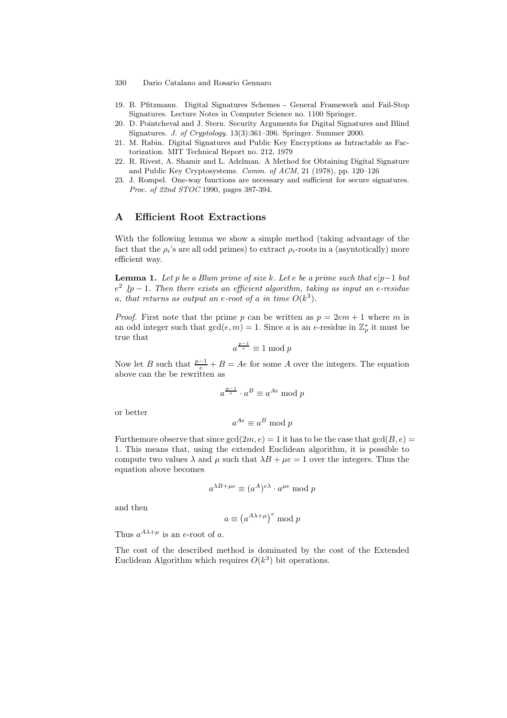- 330 Dario Catalano and Rosario Gennaro
- 19. B. Pfitzmann. Digital Signatures Schemes General Framework and Fail-Stop Signatures. Lecture Notes in Computer Science no. 1100 Springer.
- 20. D. Pointcheval and J. Stern. Security Arguments for Digital Signatures and Blind Signatures. J. of Cryptology. 13(3):361–396. Springer. Summer 2000.
- 21. M. Rabin. Digital Signatures and Public Key Encryptions as Intractable as Factorization. MIT Technical Report no. 212, 1979
- 22. R. Rivest, A. Shamir and L. Adelman. A Method for Obtaining Digital Signature and Public Key Cryptosystems. Comm. of ACM, 21 (1978), pp. 120–126
- 23. J. Rompel. One-way functions are necessary and sufficient for secure signatures. Proc. of 22nd STOC 1990, pages 387-394.

## A Efficient Root Extractions

With the following lemma we show a simple method (taking advantage of the fact that the  $\rho_i$ 's are all odd primes) to extract  $\rho_i$ -roots in a (asyntotically) more efficient way.

**Lemma 1.** Let p be a Blum prime of size k. Let e be a prime such that  $e|p-1$  but  $e^2$   $/p-1$ . Then there exists an efficient algorithm, taking as input an e-residue a, that returns as output an e-root of a in time  $O(k^3)$ .

*Proof.* First note that the prime p can be written as  $p = 2em + 1$  where m is an odd integer such that  $gcd(e, m) = 1$ . Since a is an e-residue in  $\mathbb{Z}_p^*$  it must be true that

$$
a^{\frac{p-1}{e}} \equiv 1 \bmod p
$$

Now let B such that  $\frac{p-1}{e} + B = Ae$  for some A over the integers. The equation above can the be rewritten as

$$
a^{\frac{p-1}{e}}\cdot a^B\equiv a^{Ae}\bmod p
$$

or better

$$
a^{Ae} \equiv a^B \bmod p
$$

Furthemore observe that since  $gcd(2m, e) = 1$  it has to be the case that  $gcd(B, e) =$ 1. This means that, using the extended Euclidean algorithm, it is possible to compute two values  $\lambda$  and  $\mu$  such that  $\lambda B + \mu e = 1$  over the integers. Thus the equation above becomes

$$
a^{\lambda B + \mu e} \equiv (a^A)^{e\lambda} \cdot a^{\mu e} \bmod p
$$

and then

$$
a \equiv \left( a^{A\lambda + \mu} \right)^e \mod p
$$

Thus  $a^{A\lambda+\mu}$  is an e-root of a.

The cost of the described method is dominated by the cost of the Extended Euclidean Algorithm which requires  $O(k^3)$  bit operations.